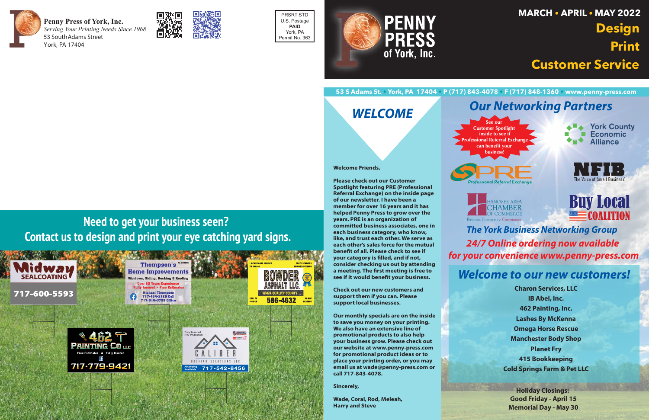

**Penny Press of York, Inc.** *Serving Your Printing Needs Since 1968* 53 SouthAdams Street York, PA 17404



PRSRT STD U.S. Postage **PAID** York, PA Permit No. 363



#### **53 S Adams St. • York, PA 17404 • P (717) 843-4078 • F (717) 848-1360 • www.penny-press.com**

## *Our Networking Partners*









**Buy Local** MOALITION

### *Welcome to our new customers!*

*WELCOME*

**Charon Services, LLC IB Abel, Inc. 462 Painting, Inc. Lashes By McKenna Omega Horse Rescue Manchester Body Shop Planet Fry 415 Bookkeeping Cold Springs Farm & Pet LLC**

#### *The York Business Networking Group 24/7 Online ordering now available for your convenience www.penny-press.com*

**Holiday Closings: Good Friday - April 15 Memorial Day - May 30**

# **MARCH • APRIL • MAY 2022 Design Print Customer Service**

# **Need to get your business seen? Contact us to design and print your eye catching yard signs.**





**Welcome Friends,** 

**Please check out our Customer Spotlight featuring PRE (Professional** Referral Exchange) on the inside page of our newsletter. I have been a member for over 16 years and it has helped Penny Press to grow over the years. PRE is an organization of committed business associates, one in each business category, who know, like, and trust each other. We serve as each other's sales force for the mutual benefit of all. Please check to see if your category is filled, and if not, consider checking us out by attending a meeting. The first meeting is free to see if it would benefit your business.

**Check out our new customers and** support them if you can. Please support local businesses.

Our monthly specials are on the inside to save you money on your printing. We also have an extensive line of promotional products to also help your business grow. Please check out our website at www.penny-press.com for promotional product ideas or to place your printing order, or you may email us at wade@penny-press.com or call 717-843-4078.

Sincerely,

Wade, Coral, Rod, Meleah, **Harry and Steve**